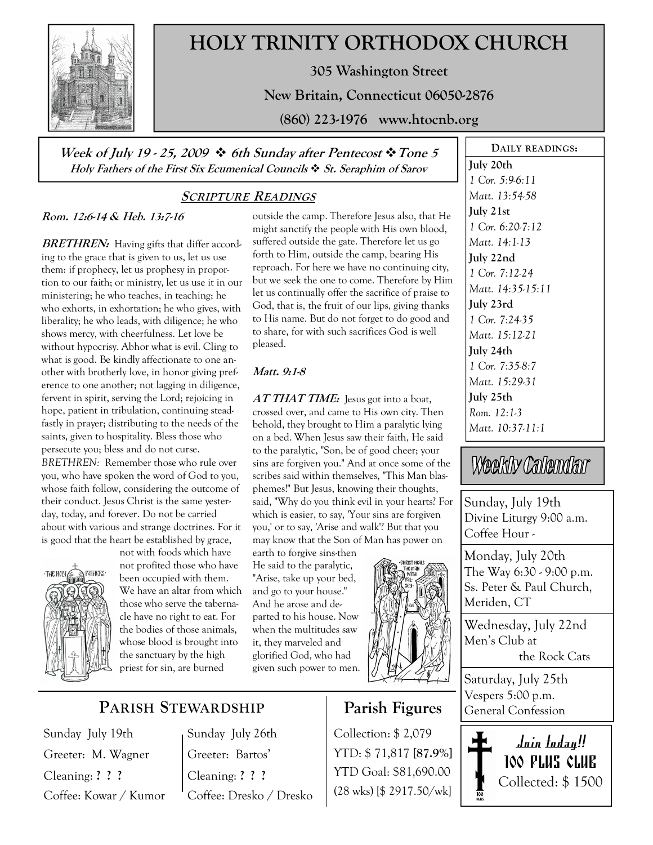

# HOLY TRINITY ORTHODOX CHURCH

305 Washington Street

New Britain, Connecticut 06050-2876

(860) 223-1976 www.htocnb.org

Week of July 19 - 25, 2009  $\div$  6th Sunday after Pentecost  $\div$  Tone 5 Holy Fathers of the First Six Ecumenical Councils  $\cdot$  St. Seraphim of Sarov

# SCRIPTURE READINGS

## Rom. 12:6-14 & Heb. 13:7-16

**BRETHREN:** Having gifts that differ according to the grace that is given to us, let us use them: if prophecy, let us prophesy in proportion to our faith; or ministry, let us use it in our ministering; he who teaches, in teaching; he who exhorts, in exhortation; he who gives, with liberality; he who leads, with diligence; he who shows mercy, with cheerfulness. Let love be without hypocrisy. Abhor what is evil. Cling to what is good. Be kindly affectionate to one another with brotherly love, in honor giving preference to one another; not lagging in diligence, fervent in spirit, serving the Lord; rejoicing in hope, patient in tribulation, continuing steadfastly in prayer; distributing to the needs of the saints, given to hospitality. Bless those who persecute you; bless and do not curse.

BRETHREN: Remember those who rule over you, who have spoken the word of God to you, whose faith follow, considering the outcome of their conduct. Jesus Christ is the same yesterday, today, and forever. Do not be carried about with various and strange doctrines. For it is good that the heart be established by grace, not with foods which have



not profited those who have been occupied with them. We have an altar from which those who serve the tabernacle have no right to eat. For the bodies of those animals, whose blood is brought into the sanctuary by the high priest for sin, are burned

outside the camp. Therefore Jesus also, that He might sanctify the people with His own blood, suffered outside the gate. Therefore let us go forth to Him, outside the camp, bearing His reproach. For here we have no continuing city, but we seek the one to come. Therefore by Him let us continually offer the sacrifice of praise to God, that is, the fruit of our lips, giving thanks to His name. But do not forget to do good and to share, for with such sacrifices God is well pleased.

#### Matt. 9:1-8

 $ATTHAT TIME:$  Jesus got into a boat, crossed over, and came to His own city. Then behold, they brought to Him a paralytic lying on a bed. When Jesus saw their faith, He said to the paralytic, "Son, be of good cheer; your sins are forgiven you." And at once some of the scribes said within themselves, "This Man blasphemes!" But Jesus, knowing their thoughts, said, "Why do you think evil in your hearts? For which is easier, to say, 'Your sins are forgiven you,' or to say, 'Arise and walk'? But that you may know that the Son of Man has power on

earth to forgive sins-then He said to the paralytic, "Arise, take up your bed, and go to your house." And he arose and departed to his house. Now when the multitudes saw it, they marveled and glorified God, who had given such power to men.



# Parish Figures

Collection: \$ 2,079 YTD: \$ 71,817 [87.9%] YTD Goal: \$81,690.00 (28 wks) [\$ 2917.50/wk] July 20th 1 Cor. 5:9-6:11 Matt. 13:54-58 July 21st 1 Cor. 6:20-7:12 Matt. 14:1-13 July 22nd 1 Cor. 7:12-24 Matt. 14:35-15:11 July 23rd 1 Cor. 7:24-35 Matt. 15:12-21 July 24th 1 Cor. 7:35-8:7 Matt. 15:29-31 July 25th Rom. 12:1-3 Matt. 10:37-11:1

DAILY READINGS:

# Weekly Calendar

Sunday, July 19th Divine Liturgy 9:00 a.m. Coffee Hour -

Monday, July 20th The Way 6:30 - 9:00 p.m. Ss. Peter & Paul Church, Meriden, CT

Wednesday, July 22nd Men's Club at the Rock Cats

Saturday, July 25th Vespers 5:00 p.m. General Confession



PARISH STEWARDSHIP

Sunday July 19th Greeter: M. Wagner Cleaning: ? ? ? Coffee: Kowar / Kumor Sunday July 26th Greeter: Bartos' Cleaning: ? ? ? Coffee: Dresko / Dresko